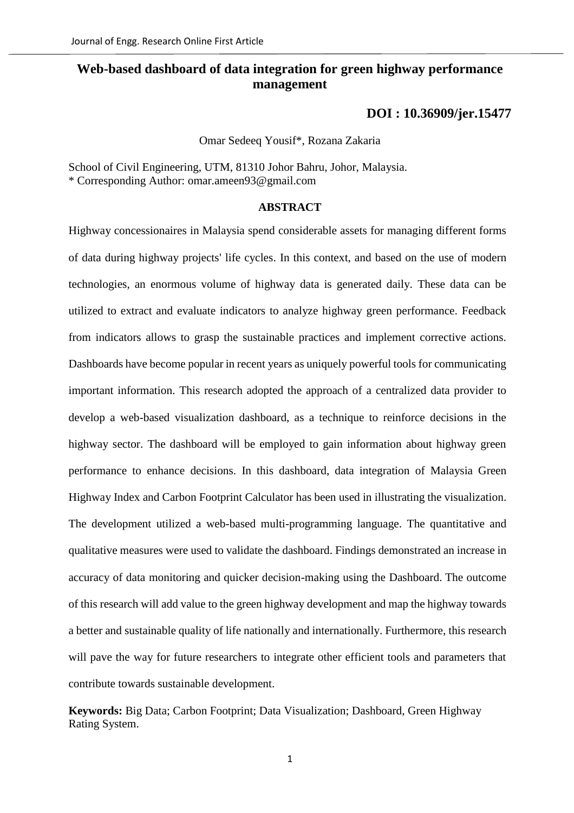# **Web-based dashboard of data integration for green highway performance management**

**DOI : [10.36909/jer.15477](https://kuwaitjournals.org/jer/index.php/JER/article/view/15477)**

Omar Sedeeq Yousif\*, Rozana Zakaria

School of Civil Engineering, UTM, 81310 Johor Bahru, Johor, Malaysia. \* Corresponding Author: omar.ameen93@gmail.com

## **ABSTRACT**

Highway concessionaires in Malaysia spend considerable assets for managing different forms of data during highway projects' life cycles. In this context, and based on the use of modern technologies, an enormous volume of highway data is generated daily. These data can be utilized to extract and evaluate indicators to analyze highway green performance. Feedback from indicators allows to grasp the sustainable practices and implement corrective actions. Dashboards have become popular in recent years as uniquely powerful tools for communicating important information. This research adopted the approach of a centralized data provider to develop a web-based visualization dashboard, as a technique to reinforce decisions in the highway sector. The dashboard will be employed to gain information about highway green performance to enhance decisions. In this dashboard, data integration of Malaysia Green Highway Index and Carbon Footprint Calculator has been used in illustrating the visualization. The development utilized a web-based multi-programming language. The quantitative and qualitative measures were used to validate the dashboard. Findings demonstrated an increase in accuracy of data monitoring and quicker decision-making using the Dashboard. The outcome of this research will add value to the green highway development and map the highway towards a better and sustainable quality of life nationally and internationally. Furthermore, this research will pave the way for future researchers to integrate other efficient tools and parameters that contribute towards sustainable development.

**Keywords:** Big Data; Carbon Footprint; Data Visualization; Dashboard, Green Highway Rating System.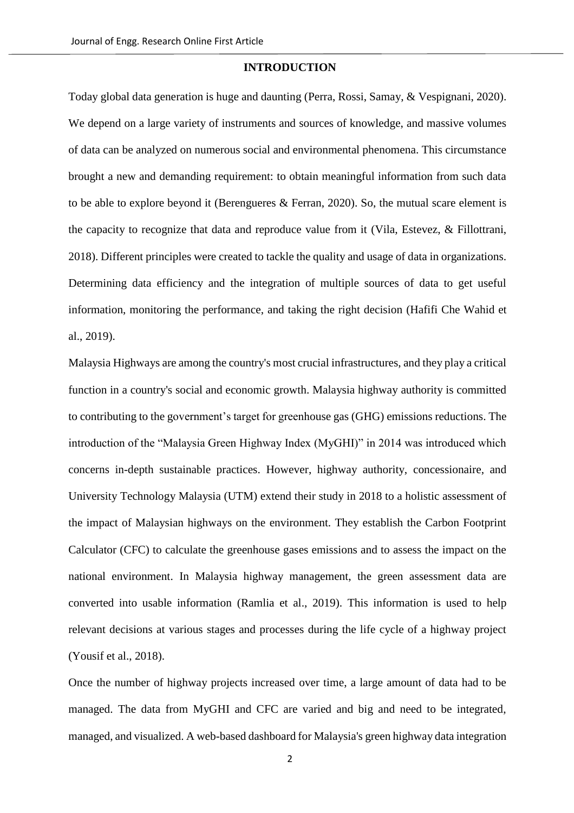#### **INTRODUCTION**

Today global data generation is huge and daunting (Perra, Rossi, Samay, & Vespignani, 2020). We depend on a large variety of instruments and sources of knowledge, and massive volumes of data can be analyzed on numerous social and environmental phenomena. This circumstance brought a new and demanding requirement: to obtain meaningful information from such data to be able to explore beyond it (Berengueres & Ferran, 2020). So, the mutual scare element is the capacity to recognize that data and reproduce value from it (Vila, Estevez, & Fillottrani, 2018). Different principles were created to tackle the quality and usage of data in organizations. Determining data efficiency and the integration of multiple sources of data to get useful information, monitoring the performance, and taking the right decision (Hafifi Che Wahid et al., 2019).

Malaysia Highways are among the country's most crucial infrastructures, and they play a critical function in a country's social and economic growth. Malaysia highway authority is committed to contributing to the government's target for greenhouse gas (GHG) emissions reductions. The introduction of the "Malaysia Green Highway Index (MyGHI)" in 2014 was introduced which concerns in-depth sustainable practices. However, highway authority, concessionaire, and University Technology Malaysia (UTM) extend their study in 2018 to a holistic assessment of the impact of Malaysian highways on the environment. They establish the Carbon Footprint Calculator (CFC) to calculate the greenhouse gases emissions and to assess the impact on the national environment. In Malaysia highway management, the green assessment data are converted into usable information (Ramlia et al., 2019). This information is used to help relevant decisions at various stages and processes during the life cycle of a highway project (Yousif et al., 2018).

Once the number of highway projects increased over time, a large amount of data had to be managed. The data from MyGHI and CFC are varied and big and need to be integrated, managed, and visualized. A web-based dashboard for Malaysia's green highway data integration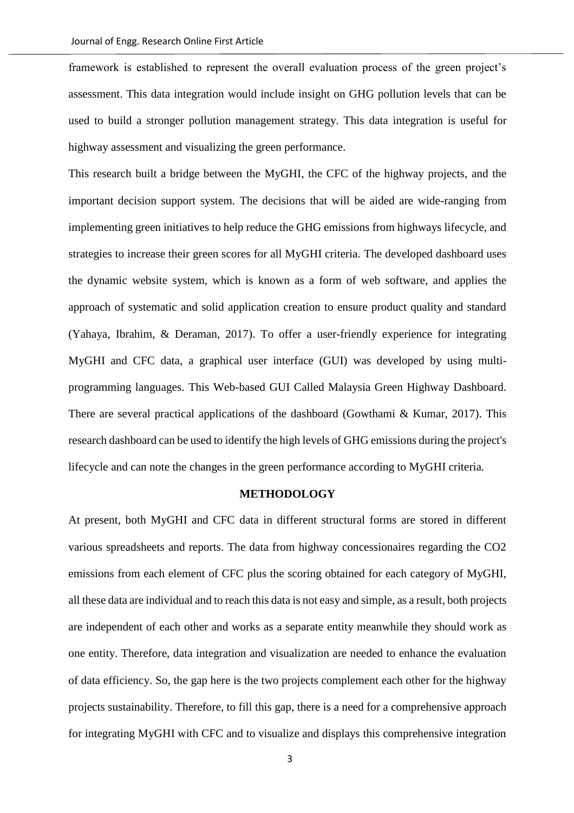framework is established to represent the overall evaluation process of the green project's assessment. This data integration would include insight on GHG pollution levels that can be used to build a stronger pollution management strategy. This data integration is useful for highway assessment and visualizing the green performance.

This research built a bridge between the MyGHI, the CFC of the highway projects, and the important decision support system. The decisions that will be aided are wide-ranging from implementing green initiatives to help reduce the GHG emissions from highways lifecycle, and strategies to increase their green scores for all MyGHI criteria. The developed dashboard uses the dynamic website system, which is known as a form of web software, and applies the approach of systematic and solid application creation to ensure product quality and standard (Yahaya, Ibrahim, & Deraman, 2017). To offer a user-friendly experience for integrating MyGHI and CFC data, a graphical user interface (GUI) was developed by using multiprogramming languages. This Web-based GUI Called Malaysia Green Highway Dashboard. There are several practical applications of the dashboard (Gowthami & Kumar, 2017). This research dashboard can be used to identify the high levels of GHG emissions during the project's lifecycle and can note the changes in the green performance according to MyGHI criteria.

### **METHODOLOGY**

At present, both MyGHI and CFC data in different structural forms are stored in different various spreadsheets and reports. The data from highway concessionaires regarding the CO2 emissions from each element of CFC plus the scoring obtained for each category of MyGHI, all these data are individual and to reach this data is not easy and simple, as a result, both projects are independent of each other and works as a separate entity meanwhile they should work as one entity. Therefore, data integration and visualization are needed to enhance the evaluation of data efficiency. So, the gap here is the two projects complement each other for the highway projects sustainability. Therefore, to fill this gap, there is a need for a comprehensive approach for integrating MyGHI with CFC and to visualize and displays this comprehensive integration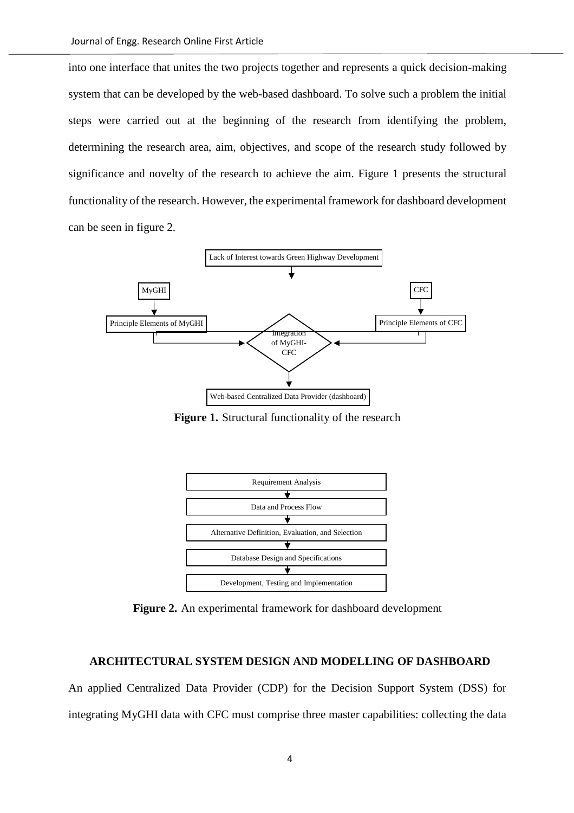into one interface that unites the two projects together and represents a quick decision-making system that can be developed by the web-based dashboard. To solve such a problem the initial steps were carried out at the beginning of the research from identifying the problem, determining the research area, aim, objectives, and scope of the research study followed by significance and novelty of the research to achieve the aim. Figure 1 presents the structural functionality of the research. However, the experimental framework for dashboard development can be seen in figure 2.



**Figure 1.** Structural functionality of the research



**Figure 2.** An experimental framework for dashboard development

## **ARCHITECTURAL SYSTEM DESIGN AND MODELLING OF DASHBOARD**

An applied Centralized Data Provider (CDP) for the Decision Support System (DSS) for integrating MyGHI data with CFC must comprise three master capabilities: collecting the data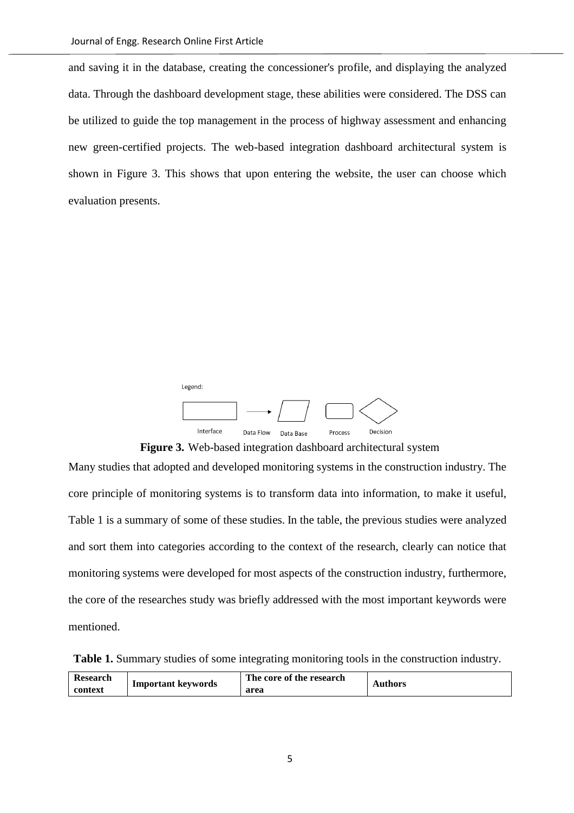and saving it in the database, creating the concessioner's profile, and displaying the analyzed data. Through the dashboard development stage, these abilities were considered. The DSS can be utilized to guide the top management in the process of highway assessment and enhancing new green-certified projects. The web-based integration dashboard architectural system is shown in Figure 3. This shows that upon entering the website, the user can choose which evaluation presents.



**Figure 3.** Web-based integration dashboard architectural system

Many studies that adopted and developed monitoring systems in the construction industry. The core principle of monitoring systems is to transform data into information, to make it useful, Table 1 is a summary of some of these studies. In the table, the previous studies were analyzed and sort them into categories according to the context of the research, clearly can notice that monitoring systems were developed for most aspects of the construction industry, furthermore, the core of the researches study was briefly addressed with the most important keywords were mentioned.

|  |  | Table 1. Summary studies of some integrating monitoring tools in the construction industry. |
|--|--|---------------------------------------------------------------------------------------------|
|--|--|---------------------------------------------------------------------------------------------|

| <b>Research</b> | Important keywords | The core of the research | Authors |
|-----------------|--------------------|--------------------------|---------|
| context         |                    | area                     |         |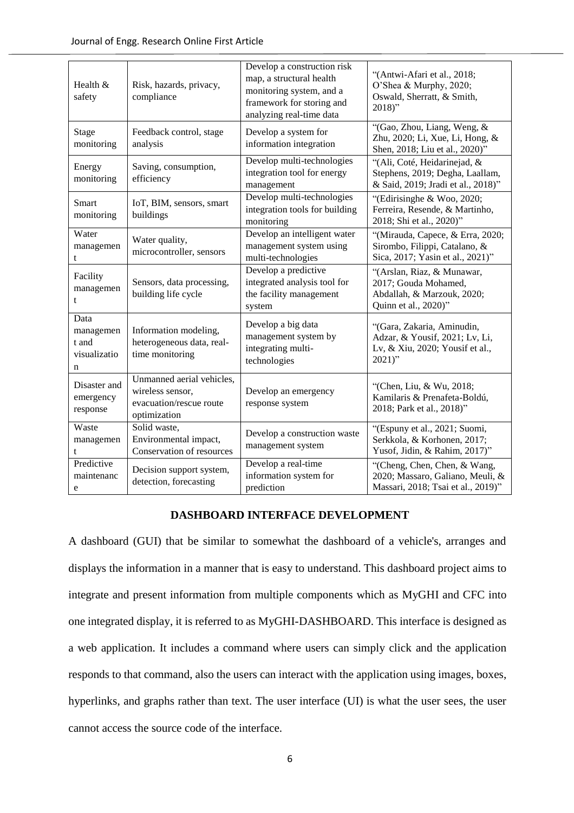| Health $&$<br>safety                            | Risk, hazards, privacy,<br>compliance                                                    | Develop a construction risk<br>map, a structural health<br>monitoring system, and a<br>framework for storing and<br>analyzing real-time data | "(Antwi-Afari et al., 2018;<br>O'Shea & Murphy, 2020;<br>Oswald, Sherratt, & Smith,<br>$2018$ "             |
|-------------------------------------------------|------------------------------------------------------------------------------------------|----------------------------------------------------------------------------------------------------------------------------------------------|-------------------------------------------------------------------------------------------------------------|
| Stage<br>monitoring                             | Feedback control, stage<br>analysis                                                      | Develop a system for<br>information integration                                                                                              | "(Gao, Zhou, Liang, Weng, &<br>Zhu, 2020; Li, Xue, Li, Hong, &<br>Shen, 2018; Liu et al., 2020)"            |
| Energy<br>monitoring                            | Saving, consumption,<br>efficiency                                                       | Develop multi-technologies<br>integration tool for energy<br>management                                                                      | "(Ali, Coté, Heidarinejad, &<br>Stephens, 2019; Degha, Laallam,<br>& Said, 2019; Jradi et al., 2018)"       |
| <b>Smart</b><br>monitoring                      | IoT, BIM, sensors, smart<br>buildings                                                    | Develop multi-technologies<br>integration tools for building<br>monitoring                                                                   | "(Edirisinghe & Woo, 2020;<br>Ferreira, Resende, & Martinho,<br>2018; Shi et al., 2020)"                    |
| Water<br>managemen<br>t                         | Water quality,<br>microcontroller, sensors                                               | Develop an intelligent water<br>management system using<br>multi-technologies                                                                | "(Mirauda, Capece, & Erra, 2020;<br>Sirombo, Filippi, Catalano, &<br>Sica, 2017; Yasin et al., 2021)"       |
| Facility<br>managemen<br>t                      | Sensors, data processing,<br>building life cycle                                         | Develop a predictive<br>integrated analysis tool for<br>the facility management<br>system                                                    | "(Arslan, Riaz, & Munawar,<br>2017; Gouda Mohamed,<br>Abdallah, & Marzouk, 2020;<br>Quinn et al., 2020)"    |
| Data<br>managemen<br>t and<br>visualizatio<br>n | Information modeling,<br>heterogeneous data, real-<br>time monitoring                    | Develop a big data<br>management system by<br>integrating multi-<br>technologies                                                             | "(Gara, Zakaria, Aminudin,<br>Adzar, & Yousif, 2021; Lv, Li,<br>Lv, & Xiu, 2020; Yousif et al.,<br>$2021$ " |
| Disaster and<br>emergency<br>response           | Unmanned aerial vehicles,<br>wireless sensor,<br>evacuation/rescue route<br>optimization | Develop an emergency<br>response system                                                                                                      | "(Chen, Liu, & Wu, 2018;<br>Kamilaris & Prenafeta-Boldú,<br>2018; Park et al., 2018)"                       |
| Waste<br>managemen<br>t                         | Solid waste,<br>Environmental impact,<br>Conservation of resources                       | Develop a construction waste<br>management system                                                                                            | "(Espuny et al., 2021; Suomi,<br>Serkkola, & Korhonen, 2017;<br>Yusof, Jidin, & Rahim, 2017)"               |
| Predictive<br>maintenanc<br>e                   | Decision support system,<br>detection, forecasting                                       | Develop a real-time<br>information system for<br>prediction                                                                                  | "(Cheng, Chen, Chen, & Wang,<br>2020; Massaro, Galiano, Meuli, &<br>Massari, 2018; Tsai et al., 2019)"      |

#### **DASHBOARD INTERFACE DEVELOPMENT**

A dashboard (GUI) that be similar to somewhat the dashboard of a vehicle's, arranges and displays the information in a manner that is easy to understand. This dashboard project aims to integrate and present information from multiple components which as MyGHI and CFC into one integrated display, it is referred to as MyGHI-DASHBOARD. This interface is designed as a web application. It includes a command where users can simply click and the application responds to that command, also the users can interact with the application using images, boxes, hyperlinks, and graphs rather than text. The user interface (UI) is what the user sees, the user cannot access the source code of the interface.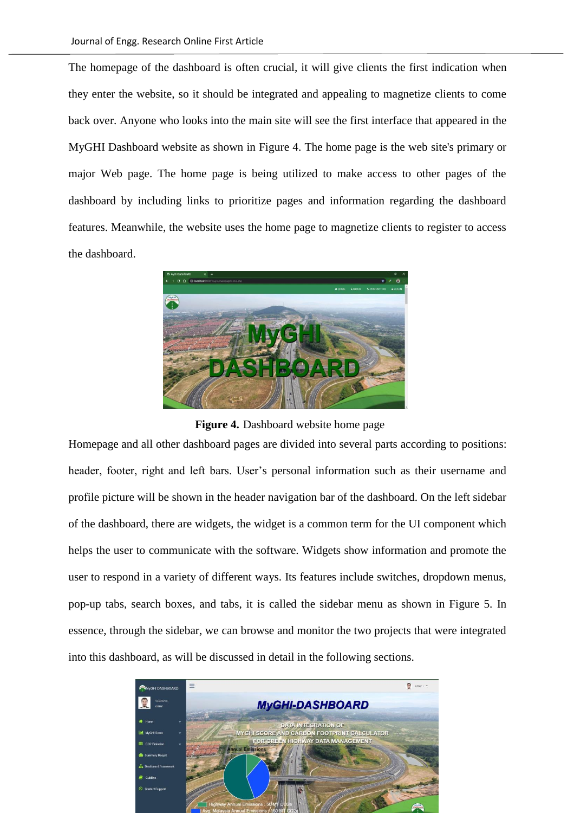The homepage of the dashboard is often crucial, it will give clients the first indication when they enter the website, so it should be integrated and appealing to magnetize clients to come back over. Anyone who looks into the main site will see the first interface that appeared in the MyGHI Dashboard website as shown in Figure 4. The home page is the web site's primary or major Web page. The home page is being utilized to make access to other pages of the dashboard by including links to prioritize pages and information regarding the dashboard features. Meanwhile, the website uses the home page to magnetize clients to register to access the dashboard.



**Figure 4.** Dashboard website home page

Homepage and all other dashboard pages are divided into several parts according to positions: header, footer, right and left bars. User's personal information such as their username and profile picture will be shown in the header navigation bar of the dashboard. On the left sidebar of the dashboard, there are widgets, the widget is a common term for the UI component which helps the user to communicate with the software. Widgets show information and promote the user to respond in a variety of different ways. Its features include switches, dropdown menus, pop-up tabs, search boxes, and tabs, it is called the sidebar menu as shown in Figure 5. In essence, through the sidebar, we can browse and monitor the two projects that were integrated into this dashboard, as will be discussed in detail in the following sections.

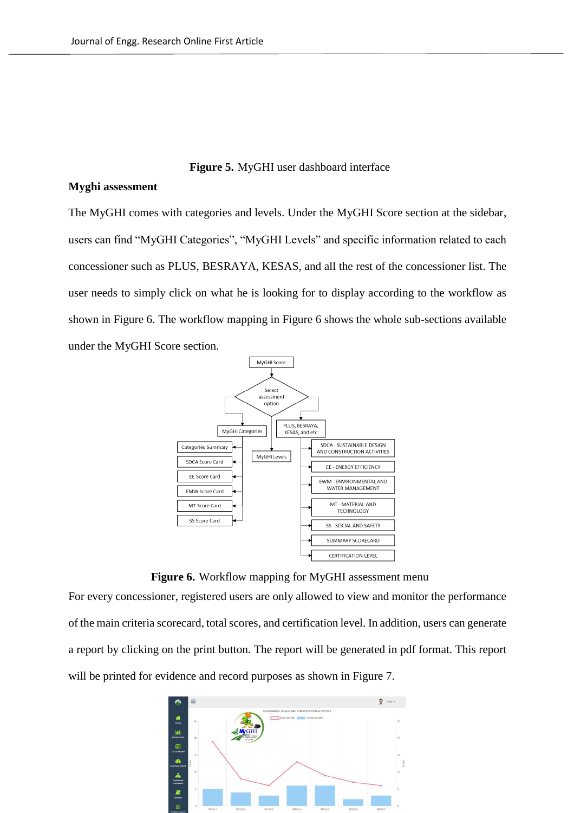## **Figure 5.** MyGHI user dashboard interface

### **Myghi assessment**

The MyGHI comes with categories and levels. Under the MyGHI Score section at the sidebar, users can find "MyGHI Categories", "MyGHI Levels" and specific information related to each concessioner such as PLUS, BESRAYA, KESAS, and all the rest of the concessioner list. The user needs to simply click on what he is looking for to display according to the workflow as shown in Figure 6. The workflow mapping in Figure 6 shows the whole sub-sections available under the MyGHI Score section.



**Figure 6.** Workflow mapping for MyGHI assessment menu

For every concessioner, registered users are only allowed to view and monitor the performance of the main criteria scorecard, total scores, and certification level. In addition, users can generate a report by clicking on the print button. The report will be generated in pdf format. This report will be printed for evidence and record purposes as shown in Figure 7.

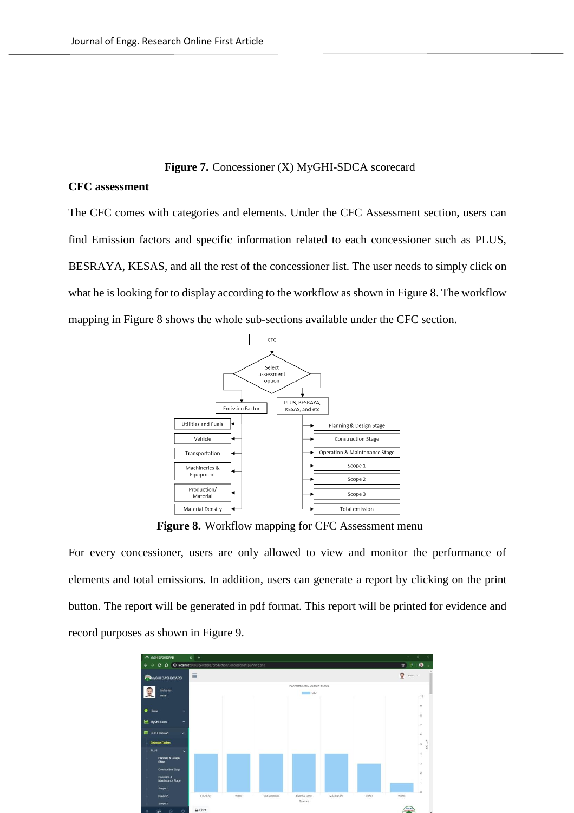#### **Figure 7.** Concessioner (X) MyGHI-SDCA scorecard

# **CFC assessment**

The CFC comes with categories and elements. Under the CFC Assessment section, users can find Emission factors and specific information related to each concessioner such as PLUS, BESRAYA, KESAS, and all the rest of the concessioner list. The user needs to simply click on what he is looking for to display according to the workflow as shown in Figure 8. The workflow mapping in Figure 8 shows the whole sub-sections available under the CFC section.



**Figure 8.** Workflow mapping for CFC Assessment menu

For every concessioner, users are only allowed to view and monitor the performance of elements and total emissions. In addition, users can generate a report by clicking on the print button. The report will be generated in pdf format. This report will be printed for evidence and record purposes as shown in Figure 9.

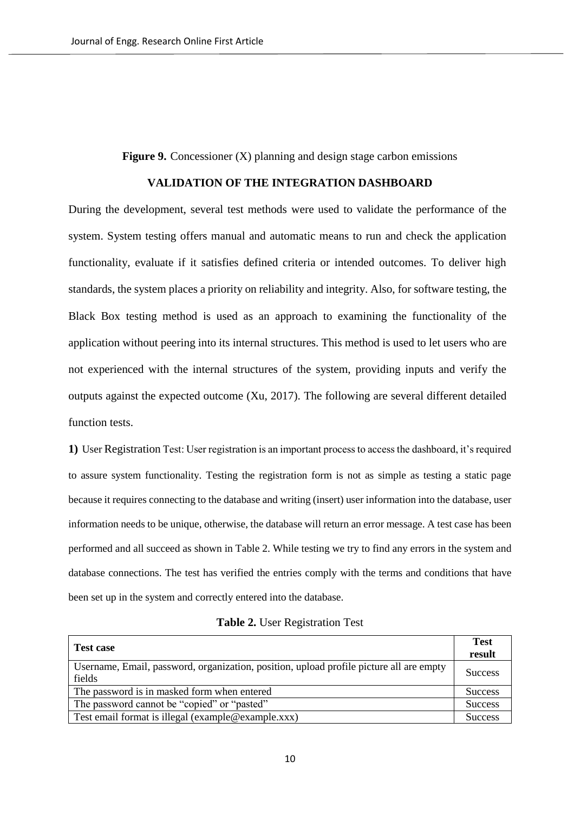**Figure 9.** Concessioner (X) planning and design stage carbon emissions

#### **VALIDATION OF THE INTEGRATION DASHBOARD**

During the development, several test methods were used to validate the performance of the system. System testing offers manual and automatic means to run and check the application functionality, evaluate if it satisfies defined criteria or intended outcomes. To deliver high standards, the system places a priority on reliability and integrity. Also, for software testing, the Black Box testing method is used as an approach to examining the functionality of the application without peering into its internal structures. This method is used to let users who are not experienced with the internal structures of the system, providing inputs and verify the outputs against the expected outcome (Xu, 2017). The following are several different detailed function tests.

**1)** User Registration Test: User registration is an important process to access the dashboard, it's required to assure system functionality. Testing the registration form is not as simple as testing a static page because it requires connecting to the database and writing (insert) user information into the database, user information needs to be unique, otherwise, the database will return an error message. A test case has been performed and all succeed as shown in Table 2. While testing we try to find any errors in the system and database connections. The test has verified the entries comply with the terms and conditions that have been set up in the system and correctly entered into the database.

| <b>Test case</b>                                                                                  | <b>Test</b><br>result |
|---------------------------------------------------------------------------------------------------|-----------------------|
| Username, Email, password, organization, position, upload profile picture all are empty<br>fields | <b>Success</b>        |
| The password is in masked form when entered                                                       | <b>Success</b>        |
| The password cannot be "copied" or "pasted"                                                       | <b>Success</b>        |
| Test email format is illegal (example@example.xxx)                                                | <b>Success</b>        |

|  |  | Table 2. User Registration Test |  |
|--|--|---------------------------------|--|
|--|--|---------------------------------|--|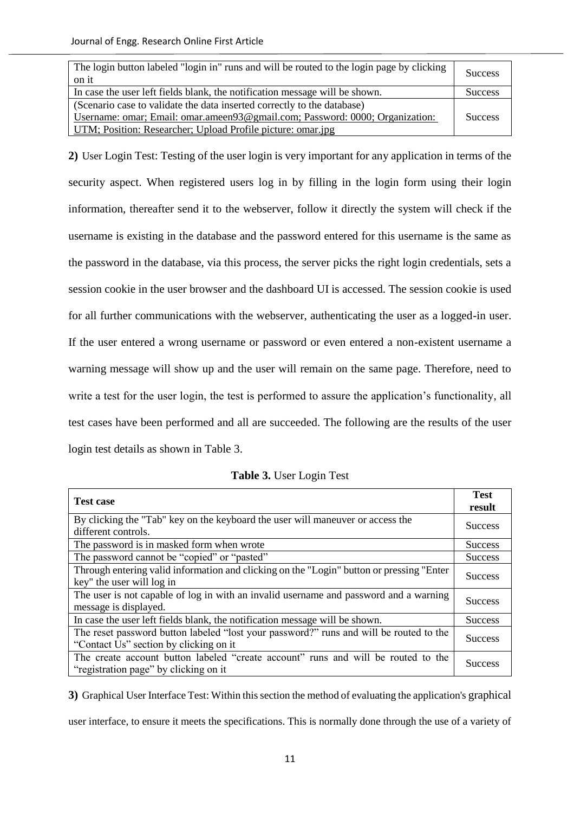| The login button labeled "login in" runs and will be routed to the login page by clicking<br>on it | <b>Success</b> |
|----------------------------------------------------------------------------------------------------|----------------|
| In case the user left fields blank, the notification message will be shown.                        | <b>Success</b> |
| (Scenario case to validate the data inserted correctly to the database)                            |                |
| Username: omar; Email: omar.ameen93@gmail.com; Password: 0000; Organization:                       |                |
| UTM; Position: Researcher; Upload Profile picture: omar.jpg                                        |                |

**2)** User Login Test: Testing of the user login is very important for any application in terms of the security aspect. When registered users log in by filling in the login form using their login information, thereafter send it to the webserver, follow it directly the system will check if the username is existing in the database and the password entered for this username is the same as the password in the database, via this process, the server picks the right login credentials, sets a session cookie in the user browser and the dashboard UI is accessed. The session cookie is used for all further communications with the webserver, authenticating the user as a logged-in user. If the user entered a wrong username or password or even entered a non-existent username a warning message will show up and the user will remain on the same page. Therefore, need to write a test for the user login, the test is performed to assure the application's functionality, all test cases have been performed and all are succeeded. The following are the results of the user login test details as shown in Table 3.

| <b>Test case</b>                                                                                                                  | <b>Test</b>    |
|-----------------------------------------------------------------------------------------------------------------------------------|----------------|
|                                                                                                                                   | result         |
| By clicking the "Tab" key on the keyboard the user will maneuver or access the<br>different controls.                             | <b>Success</b> |
| The password is in masked form when wrote                                                                                         | <b>Success</b> |
| The password cannot be "copied" or "pasted"                                                                                       | <b>Success</b> |
| Through entering valid information and clicking on the "Login" button or pressing "Enter<br>key" the user will log in             | <b>Success</b> |
| The user is not capable of log in with an invalid username and password and a warning<br>message is displayed.                    | <b>Success</b> |
| In case the user left fields blank, the notification message will be shown.                                                       | <b>Success</b> |
| The reset password button labeled "lost your password?" runs and will be routed to the<br>"Contact Us" section by clicking on it" | <b>Success</b> |
| The create account button labeled "create account" runs and will be routed to the<br>"registration page" by clicking on it        | <b>Success</b> |

**Table 3.** User Login Test

**3)** Graphical User Interface Test: Within this section the method of evaluating the application's graphical user interface, to ensure it meets the specifications. This is normally done through the use of a variety of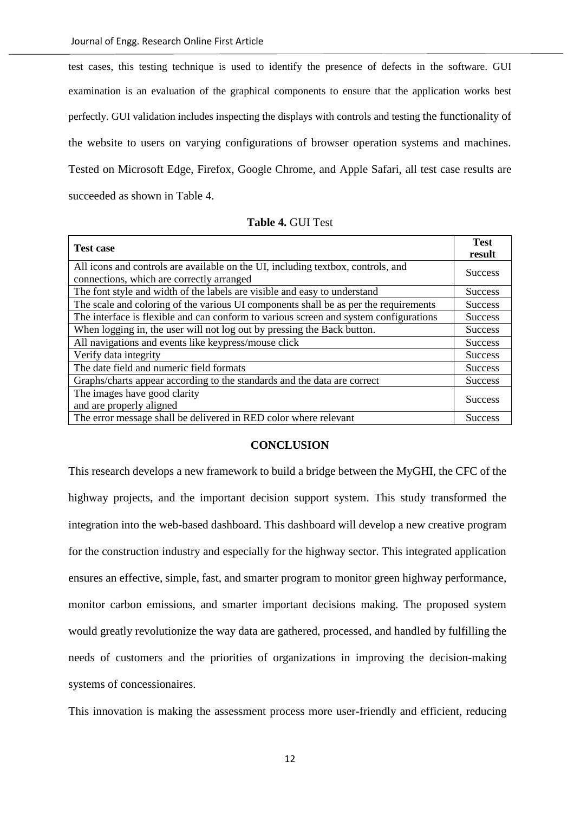test cases, this testing technique is used to identify the presence of defects in the software. GUI examination is an evaluation of the graphical components to ensure that the application works best perfectly. GUI validation includes inspecting the displays with controls and testing the functionality of the website to users on varying configurations of browser operation systems and machines. Tested on Microsoft Edge, Firefox, Google Chrome, and Apple Safari, all test case results are succeeded as shown in Table 4.

| <b>Table 4. GUI Test</b> |  |
|--------------------------|--|
|                          |  |

| <b>Test case</b>                                                                                                              | <b>Test</b>    |
|-------------------------------------------------------------------------------------------------------------------------------|----------------|
|                                                                                                                               | result         |
| All icons and controls are available on the UI, including textbox, controls, and<br>connections, which are correctly arranged | <b>Success</b> |
| The font style and width of the labels are visible and easy to understand                                                     | <b>Success</b> |
| The scale and coloring of the various UI components shall be as per the requirements                                          | <b>Success</b> |
| The interface is flexible and can conform to various screen and system configurations                                         | <b>Success</b> |
| When logging in, the user will not log out by pressing the Back button.                                                       | <b>Success</b> |
| All navigations and events like keypress/mouse click                                                                          | <b>Success</b> |
| Verify data integrity                                                                                                         | <b>Success</b> |
| The date field and numeric field formats                                                                                      | <b>Success</b> |
| Graphs/charts appear according to the standards and the data are correct                                                      | <b>Success</b> |
| The images have good clarity                                                                                                  | <b>Success</b> |
| and are properly aligned                                                                                                      |                |
| The error message shall be delivered in RED color where relevant                                                              | <b>Success</b> |

#### **CONCLUSION**

This research develops a new framework to build a bridge between the MyGHI, the CFC of the highway projects, and the important decision support system. This study transformed the integration into the web-based dashboard. This dashboard will develop a new creative program for the construction industry and especially for the highway sector. This integrated application ensures an effective, simple, fast, and smarter program to monitor green highway performance, monitor carbon emissions, and smarter important decisions making. The proposed system would greatly revolutionize the way data are gathered, processed, and handled by fulfilling the needs of customers and the priorities of organizations in improving the decision-making systems of concessionaires.

This innovation is making the assessment process more user-friendly and efficient, reducing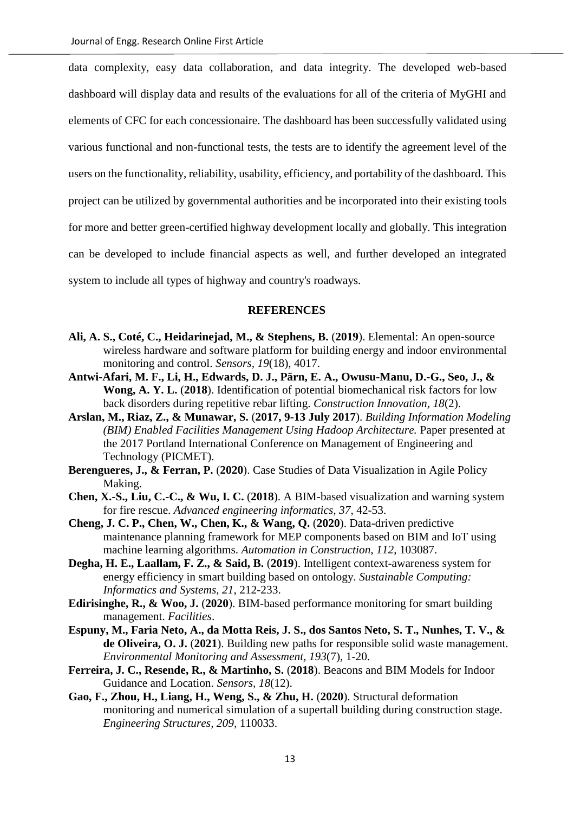data complexity, easy data collaboration, and data integrity. The developed web-based dashboard will display data and results of the evaluations for all of the criteria of MyGHI and elements of CFC for each concessionaire. The dashboard has been successfully validated using various functional and non-functional tests, the tests are to identify the agreement level of the users on the functionality, reliability, usability, efficiency, and portability of the dashboard. This project can be utilized by governmental authorities and be incorporated into their existing tools for more and better green-certified highway development locally and globally. This integration can be developed to include financial aspects as well, and further developed an integrated system to include all types of highway and country's roadways.

#### **REFERENCES**

- **Ali, A. S., Coté, C., Heidarinejad, M., & Stephens, B.** (**2019**). Elemental: An open-source wireless hardware and software platform for building energy and indoor environmental monitoring and control. *Sensors, 19*(18), 4017.
- **Antwi-Afari, M. F., Li, H., Edwards, D. J., Pärn, E. A., Owusu-Manu, D.-G., Seo, J., & Wong, A. Y. L.** (**2018**). Identification of potential biomechanical risk factors for low back disorders during repetitive rebar lifting. *Construction Innovation, 18*(2).
- **Arslan, M., Riaz, Z., & Munawar, S.** (**2017, 9-13 July 2017**). *Building Information Modeling (BIM) Enabled Facilities Management Using Hadoop Architecture.* Paper presented at the 2017 Portland International Conference on Management of Engineering and Technology (PICMET).
- **Berengueres, J., & Ferran, P.** (**2020**). Case Studies of Data Visualization in Agile Policy Making.
- **Chen, X.-S., Liu, C.-C., & Wu, I. C.** (**2018**). A BIM-based visualization and warning system for fire rescue. *Advanced engineering informatics, 37*, 42-53.
- **Cheng, J. C. P., Chen, W., Chen, K., & Wang, Q.** (**2020**). Data-driven predictive maintenance planning framework for MEP components based on BIM and IoT using machine learning algorithms. *Automation in Construction, 112*, 103087.
- **Degha, H. E., Laallam, F. Z., & Said, B.** (**2019**). Intelligent context-awareness system for energy efficiency in smart building based on ontology. *Sustainable Computing: Informatics and Systems, 21*, 212-233.
- **Edirisinghe, R., & Woo, J.** (**2020**). BIM-based performance monitoring for smart building management. *Facilities*.
- **Espuny, M., Faria Neto, A., da Motta Reis, J. S., dos Santos Neto, S. T., Nunhes, T. V., & de Oliveira, O. J.** (**2021**). Building new paths for responsible solid waste management. *Environmental Monitoring and Assessment, 193*(7), 1-20.
- **Ferreira, J. C., Resende, R., & Martinho, S.** (**2018**). Beacons and BIM Models for Indoor Guidance and Location. *Sensors, 18*(12).
- **Gao, F., Zhou, H., Liang, H., Weng, S., & Zhu, H.** (**2020**). Structural deformation monitoring and numerical simulation of a supertall building during construction stage. *Engineering Structures, 209*, 110033.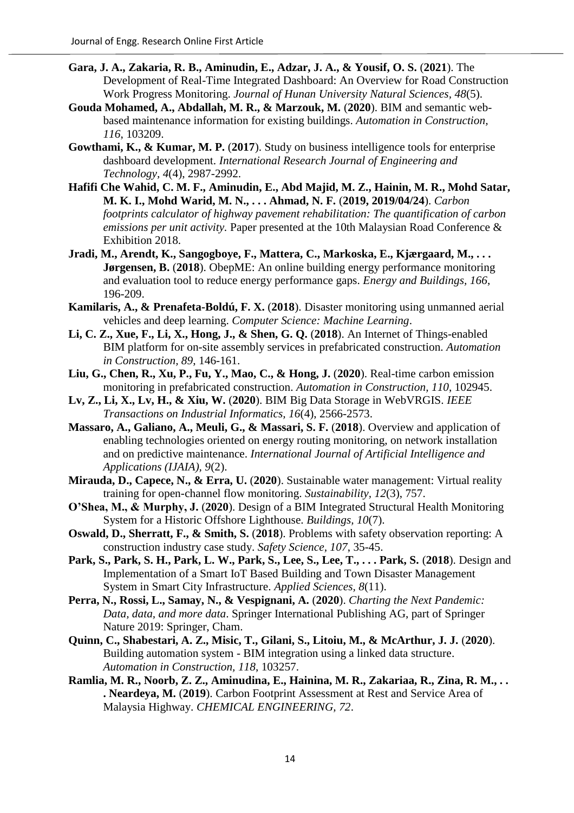- **Gara, J. A., Zakaria, R. B., Aminudin, E., Adzar, J. A., & Yousif, O. S.** (**2021**). The Development of Real-Time Integrated Dashboard: An Overview for Road Construction Work Progress Monitoring. *Journal of Hunan University Natural Sciences, 48*(5).
- **Gouda Mohamed, A., Abdallah, M. R., & Marzouk, M.** (**2020**). BIM and semantic webbased maintenance information for existing buildings. *Automation in Construction, 116*, 103209.
- **Gowthami, K., & Kumar, M. P.** (**2017**). Study on business intelligence tools for enterprise dashboard development. *International Research Journal of Engineering and Technology, 4*(4), 2987-2992.
- **Hafifi Che Wahid, C. M. F., Aminudin, E., Abd Majid, M. Z., Hainin, M. R., Mohd Satar, M. K. I., Mohd Warid, M. N., . . . Ahmad, N. F.** (**2019, 2019/04/24**). *Carbon footprints calculator of highway pavement rehabilitation: The quantification of carbon emissions per unit activity.* Paper presented at the 10th Malaysian Road Conference & Exhibition 2018.
- **Jradi, M., Arendt, K., Sangogboye, F., Mattera, C., Markoska, E., Kjærgaard, M., . . . Jørgensen, B.** (**2018**). ObepME: An online building energy performance monitoring and evaluation tool to reduce energy performance gaps. *Energy and Buildings, 166*, 196-209.
- **Kamilaris, A., & Prenafeta-Boldú, F. X.** (**2018**). Disaster monitoring using unmanned aerial vehicles and deep learning. *Computer Science: Machine Learning*.
- **Li, C. Z., Xue, F., Li, X., Hong, J., & Shen, G. Q.** (**2018**). An Internet of Things-enabled BIM platform for on-site assembly services in prefabricated construction. *Automation in Construction, 89*, 146-161.
- **Liu, G., Chen, R., Xu, P., Fu, Y., Mao, C., & Hong, J.** (**2020**). Real-time carbon emission monitoring in prefabricated construction. *Automation in Construction, 110*, 102945.
- **Lv, Z., Li, X., Lv, H., & Xiu, W.** (**2020**). BIM Big Data Storage in WebVRGIS. *IEEE Transactions on Industrial Informatics, 16*(4), 2566-2573.
- **Massaro, A., Galiano, A., Meuli, G., & Massari, S. F.** (**2018**). Overview and application of enabling technologies oriented on energy routing monitoring, on network installation and on predictive maintenance. *International Journal of Artificial Intelligence and Applications (IJAIA), 9*(2).
- **Mirauda, D., Capece, N., & Erra, U.** (**2020**). Sustainable water management: Virtual reality training for open-channel flow monitoring. *Sustainability, 12*(3), 757.
- **O'Shea, M., & Murphy, J.** (**2020**). Design of a BIM Integrated Structural Health Monitoring System for a Historic Offshore Lighthouse. *Buildings, 10*(7).
- **Oswald, D., Sherratt, F., & Smith, S.** (**2018**). Problems with safety observation reporting: A construction industry case study. *Safety Science, 107*, 35-45.
- **Park, S., Park, S. H., Park, L. W., Park, S., Lee, S., Lee, T., . . . Park, S.** (**2018**). Design and Implementation of a Smart IoT Based Building and Town Disaster Management System in Smart City Infrastructure. *Applied Sciences, 8*(11).
- **Perra, N., Rossi, L., Samay, N., & Vespignani, A.** (**2020**). *Charting the Next Pandemic: Data, data, and more data*. Springer International Publishing AG, part of Springer Nature 2019: Springer, Cham.
- **Quinn, C., Shabestari, A. Z., Misic, T., Gilani, S., Litoiu, M., & McArthur, J. J.** (**2020**). Building automation system - BIM integration using a linked data structure. *Automation in Construction, 118*, 103257.
- **Ramlia, M. R., Noorb, Z. Z., Aminudina, E., Hainina, M. R., Zakariaa, R., Zina, R. M., . . . Neardeya, M.** (**2019**). Carbon Footprint Assessment at Rest and Service Area of Malaysia Highway. *CHEMICAL ENGINEERING, 72*.